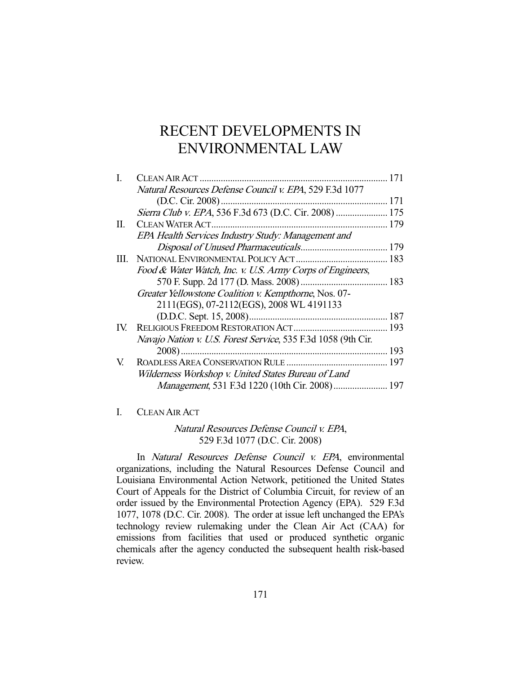# RECENT DEVELOPMENTS IN ENVIRONMENTAL LAW

|     | Natural Resources Defense Council v. EPA, 529 F.3d 1077       |     |
|-----|---------------------------------------------------------------|-----|
|     |                                                               |     |
|     | Sierra Club v. EPA, 536 F.3d 673 (D.C. Cir. 2008)  175        |     |
| П.  |                                                               |     |
|     | EPA Health Services Industry Study: Management and            |     |
|     |                                                               |     |
| HL. |                                                               |     |
|     | Food & Water Watch, Inc. v. U.S. Army Corps of Engineers,     |     |
|     |                                                               |     |
|     | Greater Yellowstone Coalition v. Kempthorne, Nos. 07-         |     |
|     | 2111(EGS), 07-2112(EGS), 2008 WL 4191133                      |     |
|     |                                                               |     |
| IV. |                                                               |     |
|     | Navajo Nation v. U.S. Forest Service, 535 F.3d 1058 (9th Cir. |     |
|     |                                                               | 193 |
| V.  |                                                               |     |
|     | Wilderness Workshop v. United States Bureau of Land           |     |
|     | Management, 531 F.3d 1220 (10th Cir. 2008) 197                |     |
|     |                                                               |     |

# I. CLEAN AIR ACT

# Natural Resources Defense Council v. EPA, 529 F.3d 1077 (D.C. Cir. 2008)

 In Natural Resources Defense Council v. EPA, environmental organizations, including the Natural Resources Defense Council and Louisiana Environmental Action Network, petitioned the United States Court of Appeals for the District of Columbia Circuit, for review of an order issued by the Environmental Protection Agency (EPA). 529 F.3d 1077, 1078 (D.C. Cir. 2008). The order at issue left unchanged the EPA's technology review rulemaking under the Clean Air Act (CAA) for emissions from facilities that used or produced synthetic organic chemicals after the agency conducted the subsequent health risk-based review.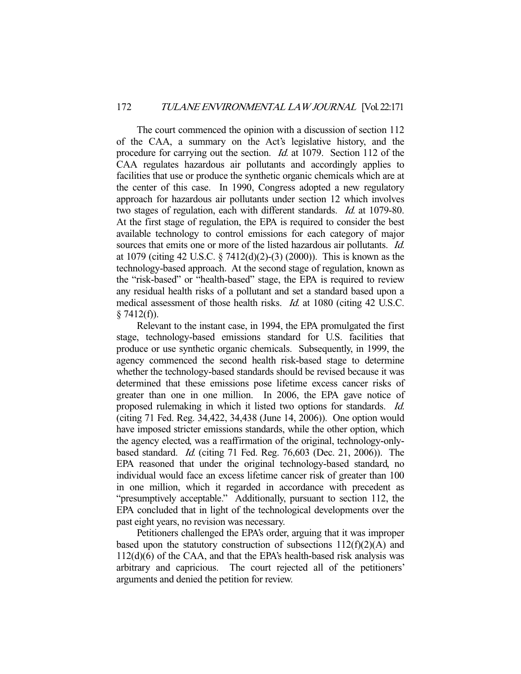The court commenced the opinion with a discussion of section 112 of the CAA, a summary on the Act's legislative history, and the procedure for carrying out the section. *Id.* at 1079. Section 112 of the CAA regulates hazardous air pollutants and accordingly applies to facilities that use or produce the synthetic organic chemicals which are at the center of this case. In 1990, Congress adopted a new regulatory approach for hazardous air pollutants under section 12 which involves two stages of regulation, each with different standards. Id. at 1079-80. At the first stage of regulation, the EPA is required to consider the best available technology to control emissions for each category of major sources that emits one or more of the listed hazardous air pollutants. *Id.* at 1079 (citing 42 U.S.C. § 7412(d)(2)-(3) (2000)). This is known as the technology-based approach. At the second stage of regulation, known as the "risk-based" or "health-based" stage, the EPA is required to review any residual health risks of a pollutant and set a standard based upon a medical assessment of those health risks. Id. at 1080 (citing 42 U.S.C.  $$7412(f)$ ).

 Relevant to the instant case, in 1994, the EPA promulgated the first stage, technology-based emissions standard for U.S. facilities that produce or use synthetic organic chemicals. Subsequently, in 1999, the agency commenced the second health risk-based stage to determine whether the technology-based standards should be revised because it was determined that these emissions pose lifetime excess cancer risks of greater than one in one million. In 2006, the EPA gave notice of proposed rulemaking in which it listed two options for standards. Id. (citing 71 Fed. Reg. 34,422, 34,438 (June 14, 2006)). One option would have imposed stricter emissions standards, while the other option, which the agency elected, was a reaffirmation of the original, technology-onlybased standard. Id. (citing 71 Fed. Reg. 76,603 (Dec. 21, 2006)). The EPA reasoned that under the original technology-based standard, no individual would face an excess lifetime cancer risk of greater than 100 in one million, which it regarded in accordance with precedent as "presumptively acceptable." Additionally, pursuant to section 112, the EPA concluded that in light of the technological developments over the past eight years, no revision was necessary.

 Petitioners challenged the EPA's order, arguing that it was improper based upon the statutory construction of subsections  $112(f)(2)(A)$  and 112(d)(6) of the CAA, and that the EPA's health-based risk analysis was arbitrary and capricious. The court rejected all of the petitioners' arguments and denied the petition for review.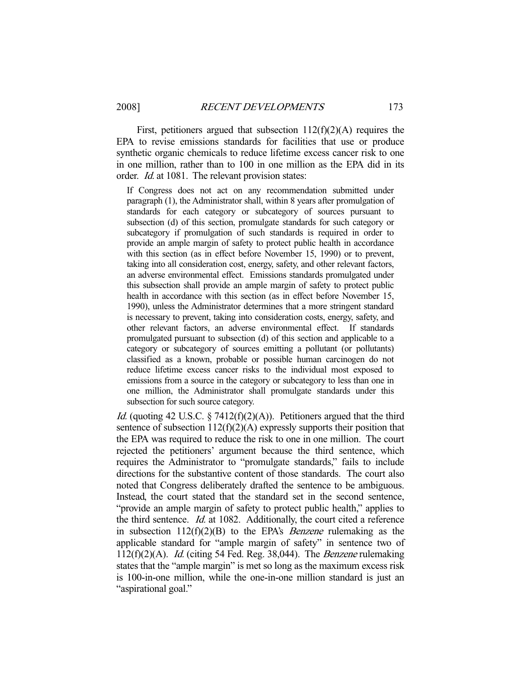First, petitioners argued that subsection  $112(f)(2)(A)$  requires the EPA to revise emissions standards for facilities that use or produce synthetic organic chemicals to reduce lifetime excess cancer risk to one in one million, rather than to 100 in one million as the EPA did in its order. Id. at 1081. The relevant provision states:

If Congress does not act on any recommendation submitted under paragraph (1), the Administrator shall, within 8 years after promulgation of standards for each category or subcategory of sources pursuant to subsection (d) of this section, promulgate standards for such category or subcategory if promulgation of such standards is required in order to provide an ample margin of safety to protect public health in accordance with this section (as in effect before November 15, 1990) or to prevent, taking into all consideration cost, energy, safety, and other relevant factors, an adverse environmental effect. Emissions standards promulgated under this subsection shall provide an ample margin of safety to protect public health in accordance with this section (as in effect before November 15, 1990), unless the Administrator determines that a more stringent standard is necessary to prevent, taking into consideration costs, energy, safety, and other relevant factors, an adverse environmental effect. If standards promulgated pursuant to subsection (d) of this section and applicable to a category or subcategory of sources emitting a pollutant (or pollutants) classified as a known, probable or possible human carcinogen do not reduce lifetime excess cancer risks to the individual most exposed to emissions from a source in the category or subcategory to less than one in one million, the Administrator shall promulgate standards under this subsection for such source category.

*Id.* (quoting 42 U.S.C.  $\S 7412(f)(2)(A)$ ). Petitioners argued that the third sentence of subsection  $112(f)(2)(A)$  expressly supports their position that the EPA was required to reduce the risk to one in one million. The court rejected the petitioners' argument because the third sentence, which requires the Administrator to "promulgate standards," fails to include directions for the substantive content of those standards. The court also noted that Congress deliberately drafted the sentence to be ambiguous. Instead, the court stated that the standard set in the second sentence, "provide an ample margin of safety to protect public health," applies to the third sentence. Id. at 1082. Additionally, the court cited a reference in subsection  $112(f)(2)(B)$  to the EPA's *Benzene* rulemaking as the applicable standard for "ample margin of safety" in sentence two of  $112(f)(2)(A)$ . *Id.* (citing 54 Fed. Reg. 38,044). The *Benzene* rulemaking states that the "ample margin" is met so long as the maximum excess risk is 100-in-one million, while the one-in-one million standard is just an "aspirational goal."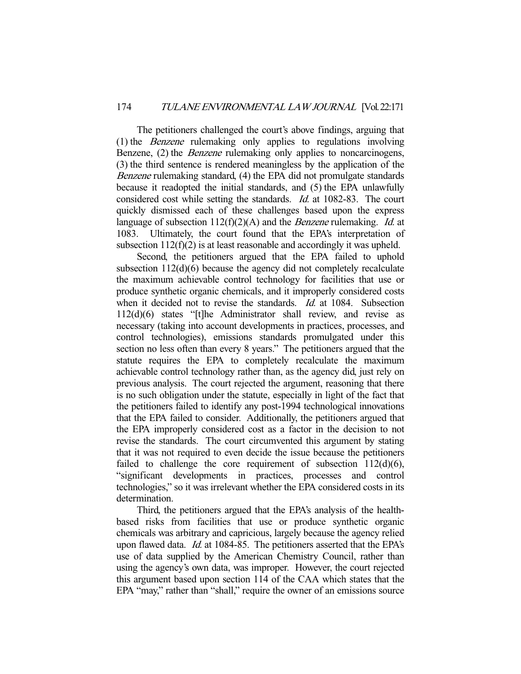The petitioners challenged the court's above findings, arguing that (1) the Benzene rulemaking only applies to regulations involving Benzene, (2) the *Benzene* rulemaking only applies to noncarcinogens, (3) the third sentence is rendered meaningless by the application of the Benzene rulemaking standard, (4) the EPA did not promulgate standards because it readopted the initial standards, and (5) the EPA unlawfully considered cost while setting the standards. Id. at 1082-83. The court quickly dismissed each of these challenges based upon the express language of subsection  $112(f)(2)(A)$  and the *Benzene* rulemaking. *Id.* at 1083. Ultimately, the court found that the EPA's interpretation of subsection  $112(f)(2)$  is at least reasonable and accordingly it was upheld.

 Second, the petitioners argued that the EPA failed to uphold subsection 112(d)(6) because the agency did not completely recalculate the maximum achievable control technology for facilities that use or produce synthetic organic chemicals, and it improperly considered costs when it decided not to revise the standards. *Id.* at 1084. Subsection 112(d)(6) states "[t]he Administrator shall review, and revise as necessary (taking into account developments in practices, processes, and control technologies), emissions standards promulgated under this section no less often than every 8 years." The petitioners argued that the statute requires the EPA to completely recalculate the maximum achievable control technology rather than, as the agency did, just rely on previous analysis. The court rejected the argument, reasoning that there is no such obligation under the statute, especially in light of the fact that the petitioners failed to identify any post-1994 technological innovations that the EPA failed to consider. Additionally, the petitioners argued that the EPA improperly considered cost as a factor in the decision to not revise the standards. The court circumvented this argument by stating that it was not required to even decide the issue because the petitioners failed to challenge the core requirement of subsection  $112(d)(6)$ , "significant developments in practices, processes and control technologies," so it was irrelevant whether the EPA considered costs in its determination.

 Third, the petitioners argued that the EPA's analysis of the healthbased risks from facilities that use or produce synthetic organic chemicals was arbitrary and capricious, largely because the agency relied upon flawed data. *Id.* at 1084-85. The petitioners asserted that the EPA's use of data supplied by the American Chemistry Council, rather than using the agency's own data, was improper. However, the court rejected this argument based upon section 114 of the CAA which states that the EPA "may," rather than "shall," require the owner of an emissions source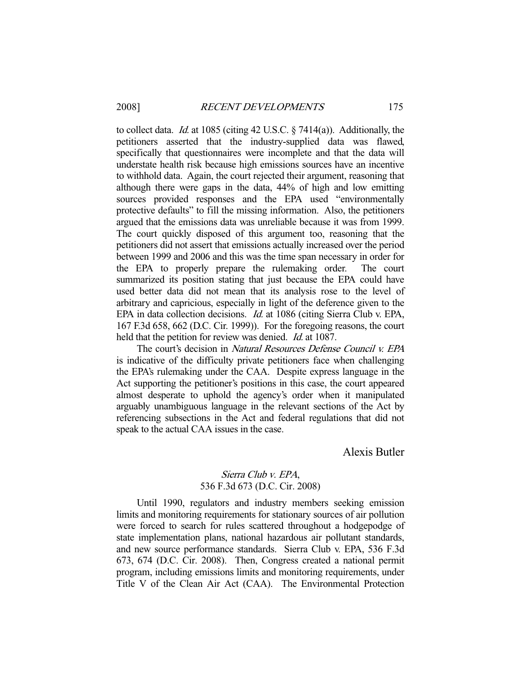to collect data. *Id.* at 1085 (citing 42 U.S.C.  $\S$  7414(a)). Additionally, the petitioners asserted that the industry-supplied data was flawed, specifically that questionnaires were incomplete and that the data will understate health risk because high emissions sources have an incentive to withhold data. Again, the court rejected their argument, reasoning that although there were gaps in the data, 44% of high and low emitting sources provided responses and the EPA used "environmentally protective defaults" to fill the missing information. Also, the petitioners argued that the emissions data was unreliable because it was from 1999. The court quickly disposed of this argument too, reasoning that the petitioners did not assert that emissions actually increased over the period between 1999 and 2006 and this was the time span necessary in order for the EPA to properly prepare the rulemaking order. The court summarized its position stating that just because the EPA could have used better data did not mean that its analysis rose to the level of arbitrary and capricious, especially in light of the deference given to the EPA in data collection decisions. Id. at 1086 (citing Sierra Club v. EPA, 167 F.3d 658, 662 (D.C. Cir. 1999)). For the foregoing reasons, the court held that the petition for review was denied. *Id.* at 1087.

The court's decision in Natural Resources Defense Council v. EPA is indicative of the difficulty private petitioners face when challenging the EPA's rulemaking under the CAA. Despite express language in the Act supporting the petitioner's positions in this case, the court appeared almost desperate to uphold the agency's order when it manipulated arguably unambiguous language in the relevant sections of the Act by referencing subsections in the Act and federal regulations that did not speak to the actual CAA issues in the case.

Alexis Butler

### Sierra Club v. EPA, 536 F.3d 673 (D.C. Cir. 2008)

 Until 1990, regulators and industry members seeking emission limits and monitoring requirements for stationary sources of air pollution were forced to search for rules scattered throughout a hodgepodge of state implementation plans, national hazardous air pollutant standards, and new source performance standards. Sierra Club v. EPA, 536 F.3d 673, 674 (D.C. Cir. 2008). Then, Congress created a national permit program, including emissions limits and monitoring requirements, under Title V of the Clean Air Act (CAA). The Environmental Protection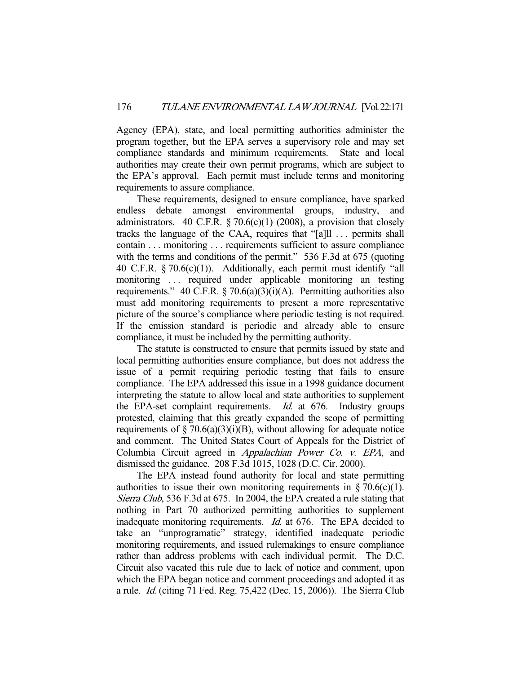Agency (EPA), state, and local permitting authorities administer the program together, but the EPA serves a supervisory role and may set compliance standards and minimum requirements. State and local authorities may create their own permit programs, which are subject to the EPA's approval. Each permit must include terms and monitoring requirements to assure compliance.

 These requirements, designed to ensure compliance, have sparked endless debate amongst environmental groups, industry, and administrators. 40 C.F.R.  $\S$  70.6(c)(1) (2008), a provision that closely tracks the language of the CAA, requires that "[a]ll . . . permits shall contain . . . monitoring . . . requirements sufficient to assure compliance with the terms and conditions of the permit." 536 F.3d at 675 (quoting 40 C.F.R. § 70.6(c)(1)). Additionally, each permit must identify "all monitoring ... required under applicable monitoring an testing requirements." 40 C.F.R.  $\frac{5}{2}$  70.6(a)(3)(i)(A). Permitting authorities also must add monitoring requirements to present a more representative picture of the source's compliance where periodic testing is not required. If the emission standard is periodic and already able to ensure compliance, it must be included by the permitting authority.

 The statute is constructed to ensure that permits issued by state and local permitting authorities ensure compliance, but does not address the issue of a permit requiring periodic testing that fails to ensure compliance. The EPA addressed this issue in a 1998 guidance document interpreting the statute to allow local and state authorities to supplement the EPA-set complaint requirements. *Id.* at 676. Industry groups protested, claiming that this greatly expanded the scope of permitting requirements of  $\S$  70.6(a)(3)(i)(B), without allowing for adequate notice and comment. The United States Court of Appeals for the District of Columbia Circuit agreed in Appalachian Power Co. v. EPA, and dismissed the guidance. 208 F.3d 1015, 1028 (D.C. Cir. 2000).

 The EPA instead found authority for local and state permitting authorities to issue their own monitoring requirements in  $\S 70.6(c)(1)$ . Sierra Club, 536 F.3d at 675. In 2004, the EPA created a rule stating that nothing in Part 70 authorized permitting authorities to supplement inadequate monitoring requirements. Id. at 676. The EPA decided to take an "unprogramatic" strategy, identified inadequate periodic monitoring requirements, and issued rulemakings to ensure compliance rather than address problems with each individual permit. The D.C. Circuit also vacated this rule due to lack of notice and comment, upon which the EPA began notice and comment proceedings and adopted it as a rule. Id. (citing 71 Fed. Reg. 75,422 (Dec. 15, 2006)). The Sierra Club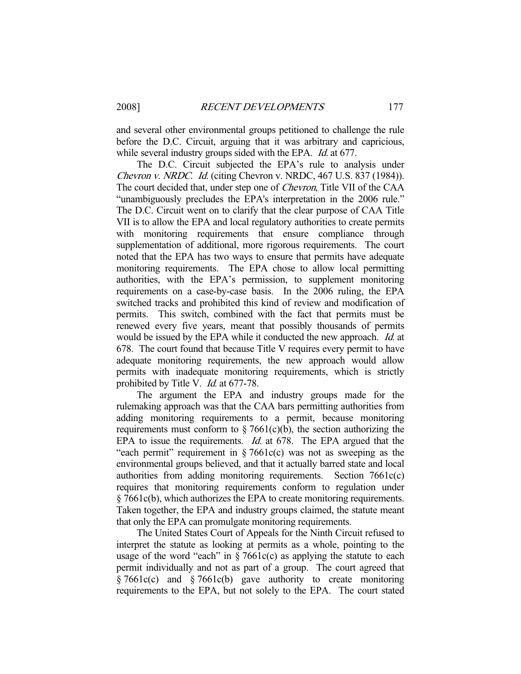and several other environmental groups petitioned to challenge the rule before the D.C. Circuit, arguing that it was arbitrary and capricious, while several industry groups sided with the EPA. *Id.* at 677.

 The D.C. Circuit subjected the EPA's rule to analysis under Chevron v. NRDC. Id. (citing Chevron v. NRDC, 467 U.S. 837 (1984)). The court decided that, under step one of Chevron, Title VII of the CAA "unambiguously precludes the EPA's interpretation in the 2006 rule." The D.C. Circuit went on to clarify that the clear purpose of CAA Title VII is to allow the EPA and local regulatory authorities to create permits with monitoring requirements that ensure compliance through supplementation of additional, more rigorous requirements. The court noted that the EPA has two ways to ensure that permits have adequate monitoring requirements. The EPA chose to allow local permitting authorities, with the EPA's permission, to supplement monitoring requirements on a case-by-case basis. In the 2006 ruling, the EPA switched tracks and prohibited this kind of review and modification of permits. This switch, combined with the fact that permits must be renewed every five years, meant that possibly thousands of permits would be issued by the EPA while it conducted the new approach. *Id.* at 678. The court found that because Title V requires every permit to have adequate monitoring requirements, the new approach would allow permits with inadequate monitoring requirements, which is strictly prohibited by Title V. *Id.* at 677-78.

 The argument the EPA and industry groups made for the rulemaking approach was that the CAA bars permitting authorities from adding monitoring requirements to a permit, because monitoring requirements must conform to  $\S 7661(c)(b)$ , the section authorizing the EPA to issue the requirements. *Id.* at 678. The EPA argued that the "each permit" requirement in  $\S 7661c(c)$  was not as sweeping as the environmental groups believed, and that it actually barred state and local authorities from adding monitoring requirements. Section 7661c(c) requires that monitoring requirements conform to regulation under § 7661c(b), which authorizes the EPA to create monitoring requirements. Taken together, the EPA and industry groups claimed, the statute meant that only the EPA can promulgate monitoring requirements.

 The United States Court of Appeals for the Ninth Circuit refused to interpret the statute as looking at permits as a whole, pointing to the usage of the word "each" in  $\S 7661c(c)$  as applying the statute to each permit individually and not as part of a group. The court agreed that § 7661c(c) and § 7661c(b) gave authority to create monitoring requirements to the EPA, but not solely to the EPA. The court stated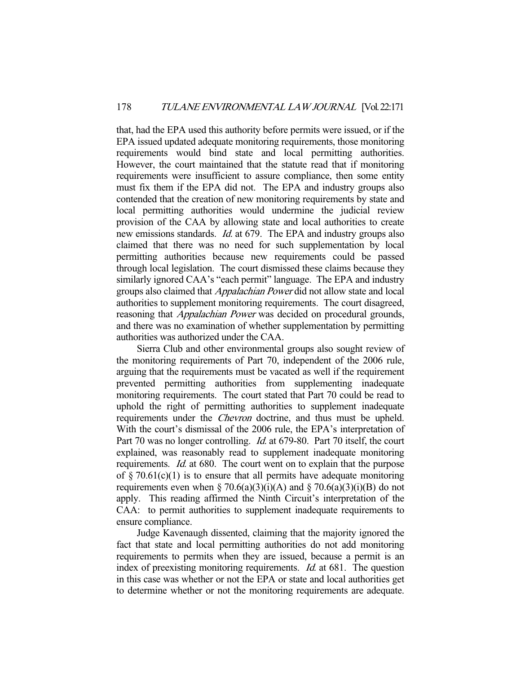that, had the EPA used this authority before permits were issued, or if the EPA issued updated adequate monitoring requirements, those monitoring requirements would bind state and local permitting authorities. However, the court maintained that the statute read that if monitoring requirements were insufficient to assure compliance, then some entity must fix them if the EPA did not. The EPA and industry groups also contended that the creation of new monitoring requirements by state and local permitting authorities would undermine the judicial review provision of the CAA by allowing state and local authorities to create new emissions standards. *Id.* at 679. The EPA and industry groups also claimed that there was no need for such supplementation by local permitting authorities because new requirements could be passed through local legislation. The court dismissed these claims because they similarly ignored CAA's "each permit" language. The EPA and industry groups also claimed that Appalachian Power did not allow state and local authorities to supplement monitoring requirements. The court disagreed, reasoning that *Appalachian Power* was decided on procedural grounds, and there was no examination of whether supplementation by permitting authorities was authorized under the CAA.

 Sierra Club and other environmental groups also sought review of the monitoring requirements of Part 70, independent of the 2006 rule, arguing that the requirements must be vacated as well if the requirement prevented permitting authorities from supplementing inadequate monitoring requirements. The court stated that Part 70 could be read to uphold the right of permitting authorities to supplement inadequate requirements under the Chevron doctrine, and thus must be upheld. With the court's dismissal of the 2006 rule, the EPA's interpretation of Part 70 was no longer controlling. *Id.* at 679-80. Part 70 itself, the court explained, was reasonably read to supplement inadequate monitoring requirements. Id. at 680. The court went on to explain that the purpose of  $\S 70.61(c)(1)$  is to ensure that all permits have adequate monitoring requirements even when § 70.6(a)(3)(i)(A) and § 70.6(a)(3)(i)(B) do not apply. This reading affirmed the Ninth Circuit's interpretation of the CAA: to permit authorities to supplement inadequate requirements to ensure compliance.

 Judge Kavenaugh dissented, claiming that the majority ignored the fact that state and local permitting authorities do not add monitoring requirements to permits when they are issued, because a permit is an index of preexisting monitoring requirements. *Id.* at 681. The question in this case was whether or not the EPA or state and local authorities get to determine whether or not the monitoring requirements are adequate.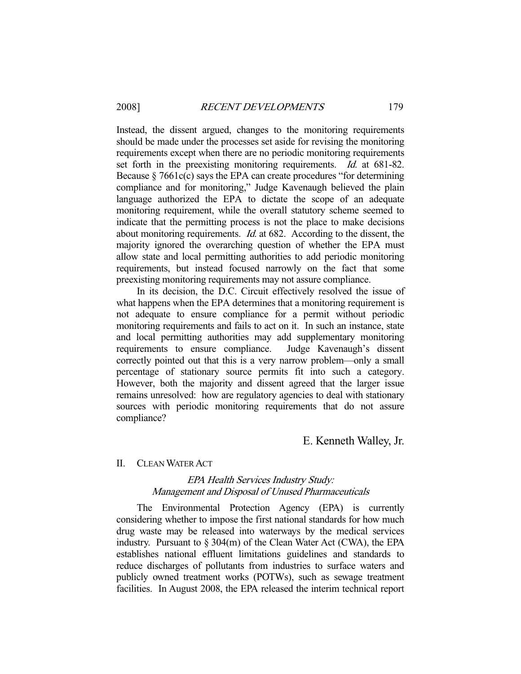Instead, the dissent argued, changes to the monitoring requirements should be made under the processes set aside for revising the monitoring requirements except when there are no periodic monitoring requirements set forth in the preexisting monitoring requirements. *Id.* at 681-82. Because  $\S 7661c(c)$  says the EPA can create procedures "for determining compliance and for monitoring," Judge Kavenaugh believed the plain language authorized the EPA to dictate the scope of an adequate monitoring requirement, while the overall statutory scheme seemed to indicate that the permitting process is not the place to make decisions about monitoring requirements. Id. at 682. According to the dissent, the majority ignored the overarching question of whether the EPA must allow state and local permitting authorities to add periodic monitoring requirements, but instead focused narrowly on the fact that some preexisting monitoring requirements may not assure compliance.

 In its decision, the D.C. Circuit effectively resolved the issue of what happens when the EPA determines that a monitoring requirement is not adequate to ensure compliance for a permit without periodic monitoring requirements and fails to act on it. In such an instance, state and local permitting authorities may add supplementary monitoring requirements to ensure compliance. Judge Kavenaugh's dissent correctly pointed out that this is a very narrow problem—only a small percentage of stationary source permits fit into such a category. However, both the majority and dissent agreed that the larger issue remains unresolved: how are regulatory agencies to deal with stationary sources with periodic monitoring requirements that do not assure compliance?

E. Kenneth Walley, Jr.

#### II. CLEAN WATER ACT

## EPA Health Services Industry Study: Management and Disposal of Unused Pharmaceuticals

 The Environmental Protection Agency (EPA) is currently considering whether to impose the first national standards for how much drug waste may be released into waterways by the medical services industry. Pursuant to § 304(m) of the Clean Water Act (CWA), the EPA establishes national effluent limitations guidelines and standards to reduce discharges of pollutants from industries to surface waters and publicly owned treatment works (POTWs), such as sewage treatment facilities. In August 2008, the EPA released the interim technical report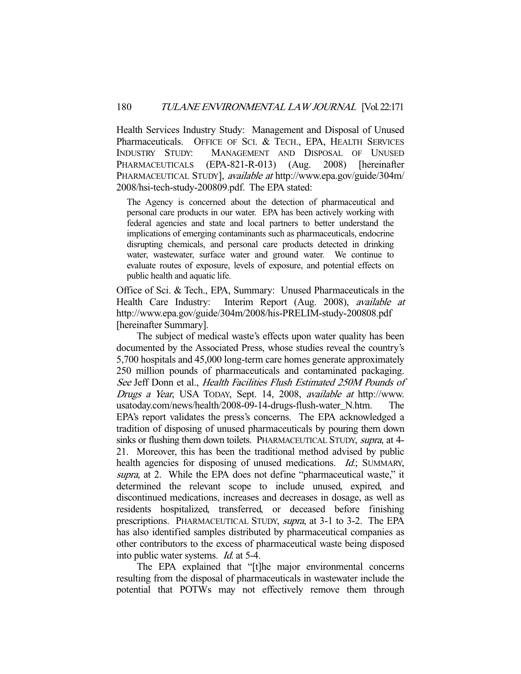Health Services Industry Study: Management and Disposal of Unused Pharmaceuticals. OFFICE OF SCI. & TECH., EPA, HEALTH SERVICES INDUSTRY STUDY: MANAGEMENT AND DISPOSAL OF UNUSED PHARMACEUTICALS (EPA-821-R-013) (Aug. 2008) [hereinafter PHARMACEUTICAL STUDY], available at http://www.epa.gov/guide/304m/ 2008/hsi-tech-study-200809.pdf. The EPA stated:

The Agency is concerned about the detection of pharmaceutical and personal care products in our water. EPA has been actively working with federal agencies and state and local partners to better understand the implications of emerging contaminants such as pharmaceuticals, endocrine disrupting chemicals, and personal care products detected in drinking water, wastewater, surface water and ground water. We continue to evaluate routes of exposure, levels of exposure, and potential effects on public health and aquatic life.

Office of Sci. & Tech., EPA, Summary: Unused Pharmaceuticals in the Health Care Industry: Interim Report (Aug. 2008), *available at* http://www.epa.gov/guide/304m/2008/his-PRELIM-study-200808.pdf [hereinafter Summary].

 The subject of medical waste's effects upon water quality has been documented by the Associated Press, whose studies reveal the country's 5,700 hospitals and 45,000 long-term care homes generate approximately 250 million pounds of pharmaceuticals and contaminated packaging. See Jeff Donn et al., Health Facilities Flush Estimated 250M Pounds of Drugs a Year, USA TODAY, Sept. 14, 2008, available at http://www. usatoday.com/news/health/2008-09-14-drugs-flush-water\_N.htm. The EPA's report validates the press's concerns. The EPA acknowledged a tradition of disposing of unused pharmaceuticals by pouring them down sinks or flushing them down toilets. PHARMACEUTICAL STUDY, supra, at 4-21. Moreover, this has been the traditional method advised by public health agencies for disposing of unused medications. *Id.*; SUMMARY, supra, at 2. While the EPA does not define "pharmaceutical waste," it determined the relevant scope to include unused, expired, and discontinued medications, increases and decreases in dosage, as well as residents hospitalized, transferred, or deceased before finishing prescriptions. PHARMACEUTICAL STUDY, supra, at 3-1 to 3-2. The EPA has also identified samples distributed by pharmaceutical companies as other contributors to the excess of pharmaceutical waste being disposed into public water systems. Id. at 5-4.

 The EPA explained that "[t]he major environmental concerns resulting from the disposal of pharmaceuticals in wastewater include the potential that POTWs may not effectively remove them through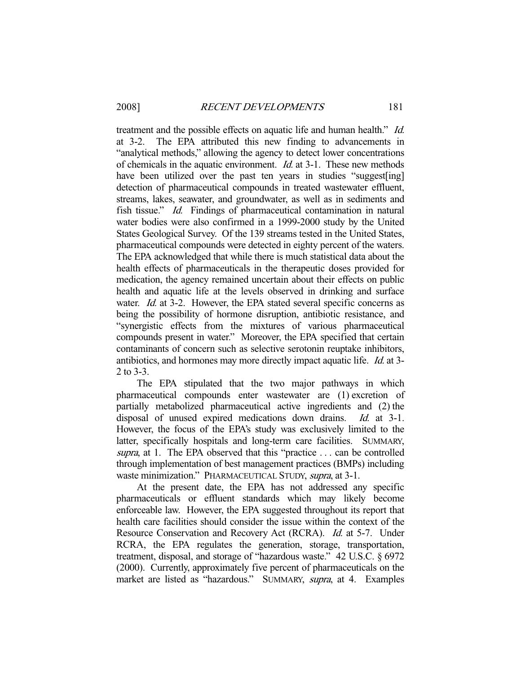treatment and the possible effects on aquatic life and human health." *Id.* at 3-2. The EPA attributed this new finding to advancements in "analytical methods," allowing the agency to detect lower concentrations of chemicals in the aquatic environment. Id. at 3-1. These new methods have been utilized over the past ten years in studies "suggest[ing] detection of pharmaceutical compounds in treated wastewater effluent, streams, lakes, seawater, and groundwater, as well as in sediments and fish tissue." Id. Findings of pharmaceutical contamination in natural water bodies were also confirmed in a 1999-2000 study by the United States Geological Survey. Of the 139 streams tested in the United States, pharmaceutical compounds were detected in eighty percent of the waters. The EPA acknowledged that while there is much statistical data about the health effects of pharmaceuticals in the therapeutic doses provided for medication, the agency remained uncertain about their effects on public health and aquatic life at the levels observed in drinking and surface water. *Id.* at 3-2. However, the EPA stated several specific concerns as being the possibility of hormone disruption, antibiotic resistance, and "synergistic effects from the mixtures of various pharmaceutical compounds present in water." Moreover, the EPA specified that certain contaminants of concern such as selective serotonin reuptake inhibitors, antibiotics, and hormones may more directly impact aquatic life. Id. at 3- 2 to 3-3.

 The EPA stipulated that the two major pathways in which pharmaceutical compounds enter wastewater are (1) excretion of partially metabolized pharmaceutical active ingredients and (2) the disposal of unused expired medications down drains. *Id.* at 3-1. However, the focus of the EPA's study was exclusively limited to the latter, specifically hospitals and long-term care facilities. SUMMARY, supra, at 1. The EPA observed that this "practice ... can be controlled through implementation of best management practices (BMPs) including waste minimization." PHARMACEUTICAL STUDY, supra, at 3-1.

 At the present date, the EPA has not addressed any specific pharmaceuticals or effluent standards which may likely become enforceable law. However, the EPA suggested throughout its report that health care facilities should consider the issue within the context of the Resource Conservation and Recovery Act (RCRA). Id. at 5-7. Under RCRA, the EPA regulates the generation, storage, transportation, treatment, disposal, and storage of "hazardous waste." 42 U.S.C. § 6972 (2000). Currently, approximately five percent of pharmaceuticals on the market are listed as "hazardous." SUMMARY, supra, at 4. Examples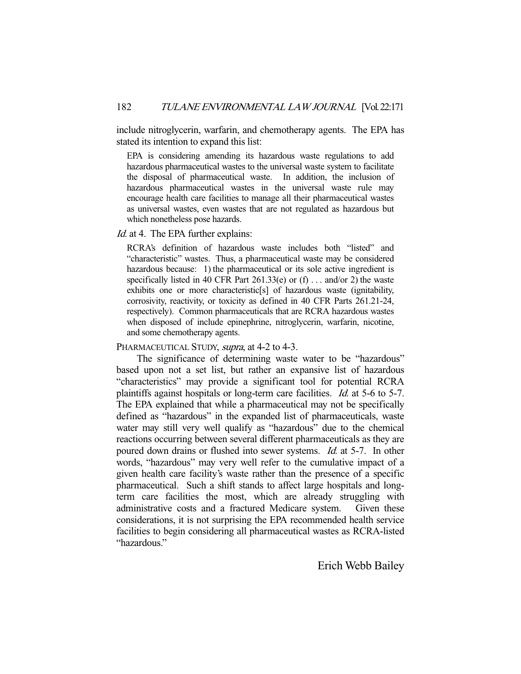include nitroglycerin, warfarin, and chemotherapy agents. The EPA has stated its intention to expand this list:

EPA is considering amending its hazardous waste regulations to add hazardous pharmaceutical wastes to the universal waste system to facilitate the disposal of pharmaceutical waste. In addition, the inclusion of hazardous pharmaceutical wastes in the universal waste rule may encourage health care facilities to manage all their pharmaceutical wastes as universal wastes, even wastes that are not regulated as hazardous but which nonetheless pose hazards.

### Id. at 4. The EPA further explains:

RCRA's definition of hazardous waste includes both "listed" and "characteristic" wastes. Thus, a pharmaceutical waste may be considered hazardous because: 1) the pharmaceutical or its sole active ingredient is specifically listed in 40 CFR Part  $261.33(e)$  or (f) ... and/or 2) the waste exhibits one or more characteristic[s] of hazardous waste (ignitability, corrosivity, reactivity, or toxicity as defined in 40 CFR Parts 261.21-24, respectively). Common pharmaceuticals that are RCRA hazardous wastes when disposed of include epinephrine, nitroglycerin, warfarin, nicotine, and some chemotherapy agents.

### PHARMACEUTICAL STUDY, *supra*, at 4-2 to 4-3.

 The significance of determining waste water to be "hazardous" based upon not a set list, but rather an expansive list of hazardous "characteristics" may provide a significant tool for potential RCRA plaintiffs against hospitals or long-term care facilities. *Id.* at 5-6 to 5-7. The EPA explained that while a pharmaceutical may not be specifically defined as "hazardous" in the expanded list of pharmaceuticals, waste water may still very well qualify as "hazardous" due to the chemical reactions occurring between several different pharmaceuticals as they are poured down drains or flushed into sewer systems. Id. at 5-7. In other words, "hazardous" may very well refer to the cumulative impact of a given health care facility's waste rather than the presence of a specific pharmaceutical. Such a shift stands to affect large hospitals and longterm care facilities the most, which are already struggling with administrative costs and a fractured Medicare system. Given these considerations, it is not surprising the EPA recommended health service facilities to begin considering all pharmaceutical wastes as RCRA-listed "hazardous."

### Erich Webb Bailey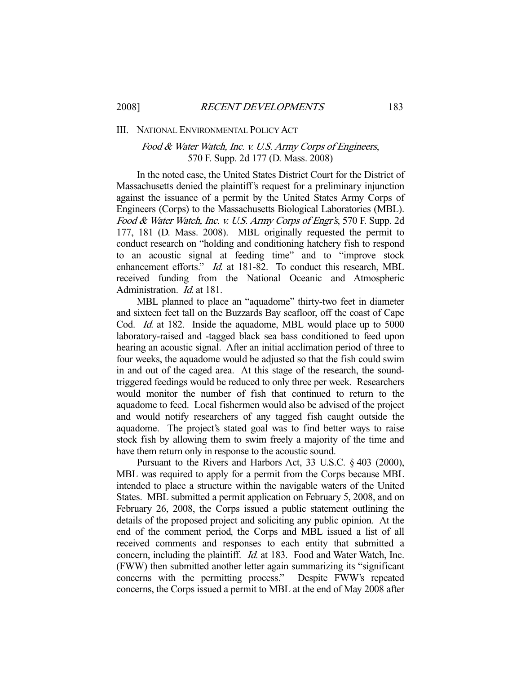#### III. NATIONAL ENVIRONMENTAL POLICY ACT

# Food & Water Watch, Inc. v. U.S. Army Corps of Engineers, 570 F. Supp. 2d 177 (D. Mass. 2008)

 In the noted case, the United States District Court for the District of Massachusetts denied the plaintiff's request for a preliminary injunction against the issuance of a permit by the United States Army Corps of Engineers (Corps) to the Massachusetts Biological Laboratories (MBL). Food & Water Watch, Inc. v. U.S. Army Corps of Engr's, 570 F. Supp. 2d 177, 181 (D. Mass. 2008). MBL originally requested the permit to conduct research on "holding and conditioning hatchery fish to respond to an acoustic signal at feeding time" and to "improve stock enhancement efforts." *Id.* at 181-82. To conduct this research, MBL received funding from the National Oceanic and Atmospheric Administration. Id. at 181.

 MBL planned to place an "aquadome" thirty-two feet in diameter and sixteen feet tall on the Buzzards Bay seafloor, off the coast of Cape Cod. Id. at 182. Inside the aquadome, MBL would place up to 5000 laboratory-raised and -tagged black sea bass conditioned to feed upon hearing an acoustic signal. After an initial acclimation period of three to four weeks, the aquadome would be adjusted so that the fish could swim in and out of the caged area. At this stage of the research, the soundtriggered feedings would be reduced to only three per week. Researchers would monitor the number of fish that continued to return to the aquadome to feed. Local fishermen would also be advised of the project and would notify researchers of any tagged fish caught outside the aquadome. The project's stated goal was to find better ways to raise stock fish by allowing them to swim freely a majority of the time and have them return only in response to the acoustic sound.

 Pursuant to the Rivers and Harbors Act, 33 U.S.C. § 403 (2000), MBL was required to apply for a permit from the Corps because MBL intended to place a structure within the navigable waters of the United States. MBL submitted a permit application on February 5, 2008, and on February 26, 2008, the Corps issued a public statement outlining the details of the proposed project and soliciting any public opinion. At the end of the comment period, the Corps and MBL issued a list of all received comments and responses to each entity that submitted a concern, including the plaintiff. Id. at 183. Food and Water Watch, Inc. (FWW) then submitted another letter again summarizing its "significant concerns with the permitting process." Despite FWW's repeated concerns, the Corps issued a permit to MBL at the end of May 2008 after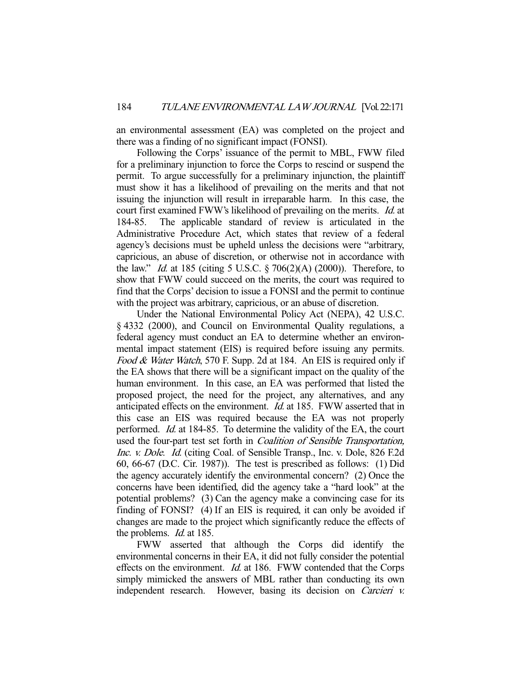an environmental assessment (EA) was completed on the project and there was a finding of no significant impact (FONSI).

 Following the Corps' issuance of the permit to MBL, FWW filed for a preliminary injunction to force the Corps to rescind or suspend the permit. To argue successfully for a preliminary injunction, the plaintiff must show it has a likelihood of prevailing on the merits and that not issuing the injunction will result in irreparable harm. In this case, the court first examined FWW's likelihood of prevailing on the merits. Id. at 184-85. The applicable standard of review is articulated in the Administrative Procedure Act, which states that review of a federal agency's decisions must be upheld unless the decisions were "arbitrary, capricious, an abuse of discretion, or otherwise not in accordance with the law." *Id.* at 185 (citing 5 U.S.C.  $\S 706(2)(A) (2000)$ ). Therefore, to show that FWW could succeed on the merits, the court was required to find that the Corps' decision to issue a FONSI and the permit to continue with the project was arbitrary, capricious, or an abuse of discretion.

 Under the National Environmental Policy Act (NEPA), 42 U.S.C. § 4332 (2000), and Council on Environmental Quality regulations, a federal agency must conduct an EA to determine whether an environmental impact statement (EIS) is required before issuing any permits. Food & Water Watch, 570 F. Supp. 2d at 184. An EIS is required only if the EA shows that there will be a significant impact on the quality of the human environment. In this case, an EA was performed that listed the proposed project, the need for the project, any alternatives, and any anticipated effects on the environment. Id. at 185. FWW asserted that in this case an EIS was required because the EA was not properly performed. Id. at 184-85. To determine the validity of the EA, the court used the four-part test set forth in Coalition of Sensible Transportation, Inc. v. Dole. Id. (citing Coal. of Sensible Transp., Inc. v. Dole, 826 F.2d 60, 66-67 (D.C. Cir. 1987)). The test is prescribed as follows: (1) Did the agency accurately identify the environmental concern? (2) Once the concerns have been identified, did the agency take a "hard look" at the potential problems? (3) Can the agency make a convincing case for its finding of FONSI? (4) If an EIS is required, it can only be avoided if changes are made to the project which significantly reduce the effects of the problems. *Id.* at 185.

 FWW asserted that although the Corps did identify the environmental concerns in their EA, it did not fully consider the potential effects on the environment. *Id.* at 186. FWW contended that the Corps simply mimicked the answers of MBL rather than conducting its own independent research. However, basing its decision on Carcieri v.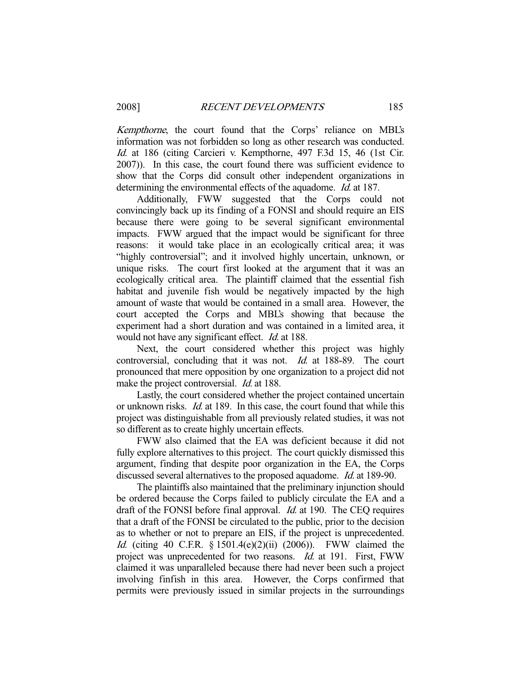Kempthorne, the court found that the Corps' reliance on MBL's information was not forbidden so long as other research was conducted. Id. at 186 (citing Carcieri v. Kempthorne, 497 F.3d 15, 46 (1st Cir. 2007)). In this case, the court found there was sufficient evidence to show that the Corps did consult other independent organizations in determining the environmental effects of the aquadome. *Id.* at 187.

 Additionally, FWW suggested that the Corps could not convincingly back up its finding of a FONSI and should require an EIS because there were going to be several significant environmental impacts. FWW argued that the impact would be significant for three reasons: it would take place in an ecologically critical area; it was "highly controversial"; and it involved highly uncertain, unknown, or unique risks. The court first looked at the argument that it was an ecologically critical area. The plaintiff claimed that the essential fish habitat and juvenile fish would be negatively impacted by the high amount of waste that would be contained in a small area. However, the court accepted the Corps and MBL's showing that because the experiment had a short duration and was contained in a limited area, it would not have any significant effect. *Id.* at 188.

 Next, the court considered whether this project was highly controversial, concluding that it was not. Id. at 188-89. The court pronounced that mere opposition by one organization to a project did not make the project controversial. *Id.* at 188.

 Lastly, the court considered whether the project contained uncertain or unknown risks. Id. at 189. In this case, the court found that while this project was distinguishable from all previously related studies, it was not so different as to create highly uncertain effects.

 FWW also claimed that the EA was deficient because it did not fully explore alternatives to this project. The court quickly dismissed this argument, finding that despite poor organization in the EA, the Corps discussed several alternatives to the proposed aquadome. Id. at 189-90.

 The plaintiffs also maintained that the preliminary injunction should be ordered because the Corps failed to publicly circulate the EA and a draft of the FONSI before final approval. *Id.* at 190. The CEQ requires that a draft of the FONSI be circulated to the public, prior to the decision as to whether or not to prepare an EIS, if the project is unprecedented. Id. (citing 40 C.F.R. § 1501.4(e)(2)(ii) (2006)). FWW claimed the project was unprecedented for two reasons. Id. at 191. First, FWW claimed it was unparalleled because there had never been such a project involving finfish in this area. However, the Corps confirmed that permits were previously issued in similar projects in the surroundings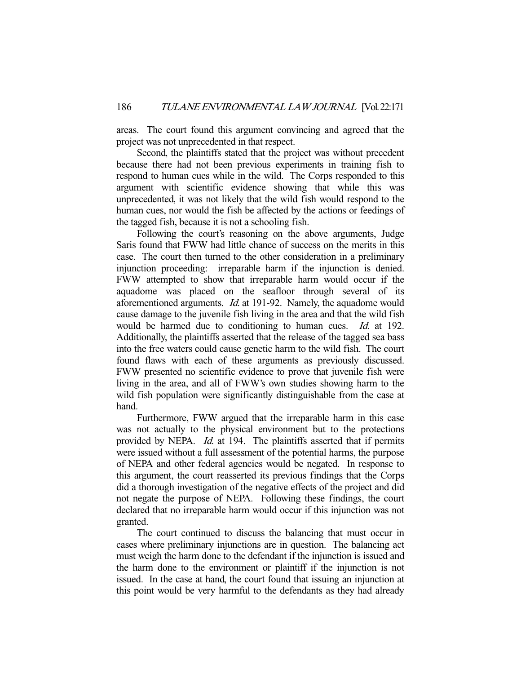areas. The court found this argument convincing and agreed that the project was not unprecedented in that respect.

 Second, the plaintiffs stated that the project was without precedent because there had not been previous experiments in training fish to respond to human cues while in the wild. The Corps responded to this argument with scientific evidence showing that while this was unprecedented, it was not likely that the wild fish would respond to the human cues, nor would the fish be affected by the actions or feedings of the tagged fish, because it is not a schooling fish.

 Following the court's reasoning on the above arguments, Judge Saris found that FWW had little chance of success on the merits in this case. The court then turned to the other consideration in a preliminary injunction proceeding: irreparable harm if the injunction is denied. FWW attempted to show that irreparable harm would occur if the aquadome was placed on the seafloor through several of its aforementioned arguments. Id. at 191-92. Namely, the aquadome would cause damage to the juvenile fish living in the area and that the wild fish would be harmed due to conditioning to human cues. *Id.* at 192. Additionally, the plaintiffs asserted that the release of the tagged sea bass into the free waters could cause genetic harm to the wild fish. The court found flaws with each of these arguments as previously discussed. FWW presented no scientific evidence to prove that juvenile fish were living in the area, and all of FWW's own studies showing harm to the wild fish population were significantly distinguishable from the case at hand.

 Furthermore, FWW argued that the irreparable harm in this case was not actually to the physical environment but to the protections provided by NEPA. Id. at 194. The plaintiffs asserted that if permits were issued without a full assessment of the potential harms, the purpose of NEPA and other federal agencies would be negated. In response to this argument, the court reasserted its previous findings that the Corps did a thorough investigation of the negative effects of the project and did not negate the purpose of NEPA. Following these findings, the court declared that no irreparable harm would occur if this injunction was not granted.

 The court continued to discuss the balancing that must occur in cases where preliminary injunctions are in question. The balancing act must weigh the harm done to the defendant if the injunction is issued and the harm done to the environment or plaintiff if the injunction is not issued. In the case at hand, the court found that issuing an injunction at this point would be very harmful to the defendants as they had already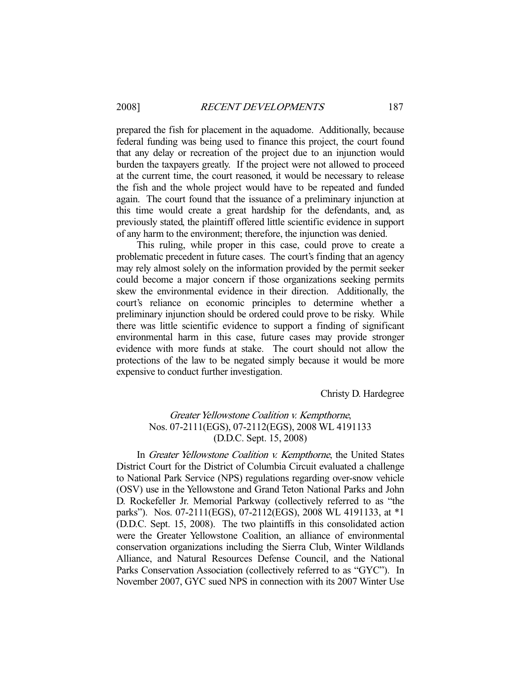prepared the fish for placement in the aquadome. Additionally, because federal funding was being used to finance this project, the court found that any delay or recreation of the project due to an injunction would burden the taxpayers greatly. If the project were not allowed to proceed at the current time, the court reasoned, it would be necessary to release the fish and the whole project would have to be repeated and funded again. The court found that the issuance of a preliminary injunction at this time would create a great hardship for the defendants, and, as previously stated, the plaintiff offered little scientific evidence in support of any harm to the environment; therefore, the injunction was denied.

 This ruling, while proper in this case, could prove to create a problematic precedent in future cases. The court's finding that an agency may rely almost solely on the information provided by the permit seeker could become a major concern if those organizations seeking permits skew the environmental evidence in their direction. Additionally, the court's reliance on economic principles to determine whether a preliminary injunction should be ordered could prove to be risky. While there was little scientific evidence to support a finding of significant environmental harm in this case, future cases may provide stronger evidence with more funds at stake. The court should not allow the protections of the law to be negated simply because it would be more expensive to conduct further investigation.

Christy D. Hardegree

# Greater Yellowstone Coalition v. Kempthorne, Nos. 07-2111(EGS), 07-2112(EGS), 2008 WL 4191133 (D.D.C. Sept. 15, 2008)

In Greater Yellowstone Coalition v. Kempthorne, the United States District Court for the District of Columbia Circuit evaluated a challenge to National Park Service (NPS) regulations regarding over-snow vehicle (OSV) use in the Yellowstone and Grand Teton National Parks and John D. Rockefeller Jr. Memorial Parkway (collectively referred to as "the parks"). Nos. 07-2111(EGS), 07-2112(EGS), 2008 WL 4191133, at \*1 (D.D.C. Sept. 15, 2008). The two plaintiffs in this consolidated action were the Greater Yellowstone Coalition, an alliance of environmental conservation organizations including the Sierra Club, Winter Wildlands Alliance, and Natural Resources Defense Council, and the National Parks Conservation Association (collectively referred to as "GYC"). In November 2007, GYC sued NPS in connection with its 2007 Winter Use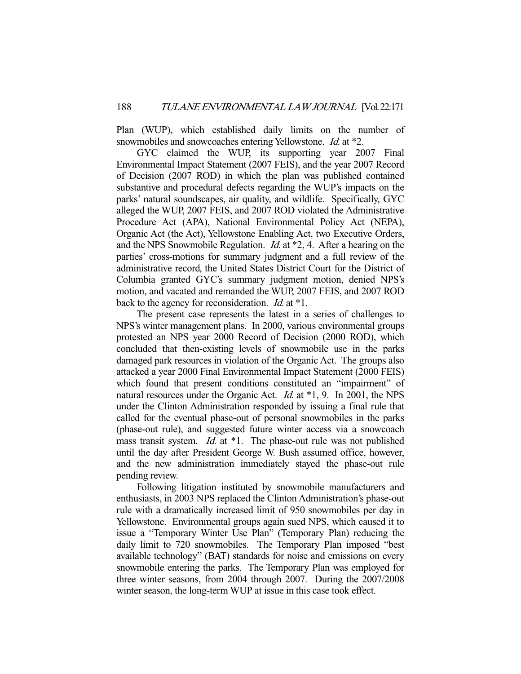Plan (WUP), which established daily limits on the number of snowmobiles and snowcoaches entering Yellowstone. *Id.* at \*2.

 GYC claimed the WUP, its supporting year 2007 Final Environmental Impact Statement (2007 FEIS), and the year 2007 Record of Decision (2007 ROD) in which the plan was published contained substantive and procedural defects regarding the WUP's impacts on the parks' natural soundscapes, air quality, and wildlife. Specifically, GYC alleged the WUP, 2007 FEIS, and 2007 ROD violated the Administrative Procedure Act (APA), National Environmental Policy Act (NEPA), Organic Act (the Act), Yellowstone Enabling Act, two Executive Orders, and the NPS Snowmobile Regulation. Id. at \*2, 4. After a hearing on the parties' cross-motions for summary judgment and a full review of the administrative record, the United States District Court for the District of Columbia granted GYC's summary judgment motion, denied NPS's motion, and vacated and remanded the WUP, 2007 FEIS, and 2007 ROD back to the agency for reconsideration. *Id.* at \*1.

 The present case represents the latest in a series of challenges to NPS's winter management plans. In 2000, various environmental groups protested an NPS year 2000 Record of Decision (2000 ROD), which concluded that then-existing levels of snowmobile use in the parks damaged park resources in violation of the Organic Act. The groups also attacked a year 2000 Final Environmental Impact Statement (2000 FEIS) which found that present conditions constituted an "impairment" of natural resources under the Organic Act. *Id.* at \*1, 9. In 2001, the NPS under the Clinton Administration responded by issuing a final rule that called for the eventual phase-out of personal snowmobiles in the parks (phase-out rule), and suggested future winter access via a snowcoach mass transit system. *Id.* at  $*1$ . The phase-out rule was not published until the day after President George W. Bush assumed office, however, and the new administration immediately stayed the phase-out rule pending review.

 Following litigation instituted by snowmobile manufacturers and enthusiasts, in 2003 NPS replaced the Clinton Administration's phase-out rule with a dramatically increased limit of 950 snowmobiles per day in Yellowstone. Environmental groups again sued NPS, which caused it to issue a "Temporary Winter Use Plan" (Temporary Plan) reducing the daily limit to 720 snowmobiles. The Temporary Plan imposed "best available technology" (BAT) standards for noise and emissions on every snowmobile entering the parks. The Temporary Plan was employed for three winter seasons, from 2004 through 2007. During the 2007/2008 winter season, the long-term WUP at issue in this case took effect.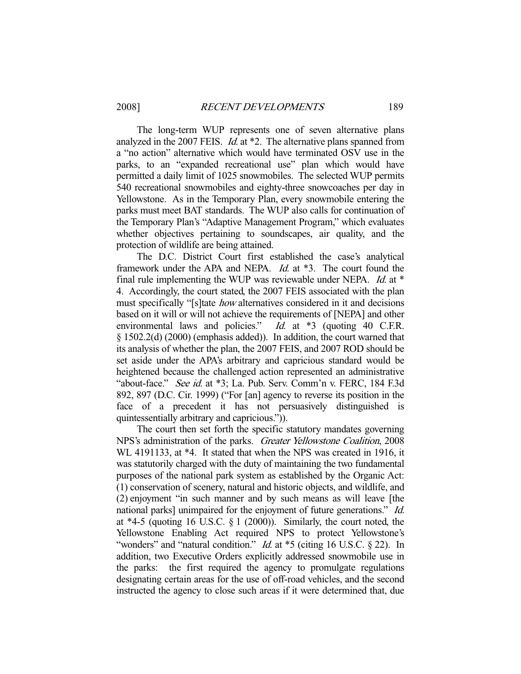The long-term WUP represents one of seven alternative plans analyzed in the 2007 FEIS. Id. at \*2. The alternative plans spanned from a "no action" alternative which would have terminated OSV use in the parks, to an "expanded recreational use" plan which would have permitted a daily limit of 1025 snowmobiles. The selected WUP permits 540 recreational snowmobiles and eighty-three snowcoaches per day in Yellowstone. As in the Temporary Plan, every snowmobile entering the parks must meet BAT standards. The WUP also calls for continuation of the Temporary Plan's "Adaptive Management Program," which evaluates whether objectives pertaining to soundscapes, air quality, and the protection of wildlife are being attained.

 The D.C. District Court first established the case's analytical framework under the APA and NEPA. Id. at \*3. The court found the final rule implementing the WUP was reviewable under NEPA. Id. at \* 4. Accordingly, the court stated, the 2007 FEIS associated with the plan must specifically "[s]tate *how* alternatives considered in it and decisions based on it will or will not achieve the requirements of [NEPA] and other environmental laws and policies."  $Id.$  at \*3 (quoting 40 C.F.R. environmental laws and policies." § 1502.2(d) (2000) (emphasis added)). In addition, the court warned that its analysis of whether the plan, the 2007 FEIS, and 2007 ROD should be set aside under the APA's arbitrary and capricious standard would be heightened because the challenged action represented an administrative "about-face." See id. at \*3; La. Pub. Serv. Comm'n v. FERC, 184 F.3d 892, 897 (D.C. Cir. 1999) ("For [an] agency to reverse its position in the face of a precedent it has not persuasively distinguished is quintessentially arbitrary and capricious.")).

 The court then set forth the specific statutory mandates governing NPS's administration of the parks. Greater Yellowstone Coalition, 2008 WL 4191133, at \*4. It stated that when the NPS was created in 1916, it was statutorily charged with the duty of maintaining the two fundamental purposes of the national park system as established by the Organic Act: (1) conservation of scenery, natural and historic objects, and wildlife, and (2) enjoyment "in such manner and by such means as will leave [the national parks] unimpaired for the enjoyment of future generations." Id. at  $*4-5$  (quoting 16 U.S.C.  $\S 1$  (2000)). Similarly, the court noted, the Yellowstone Enabling Act required NPS to protect Yellowstone's "wonders" and "natural condition." *Id.* at \*5 (citing 16 U.S.C. § 22). In addition, two Executive Orders explicitly addressed snowmobile use in the parks: the first required the agency to promulgate regulations designating certain areas for the use of off-road vehicles, and the second instructed the agency to close such areas if it were determined that, due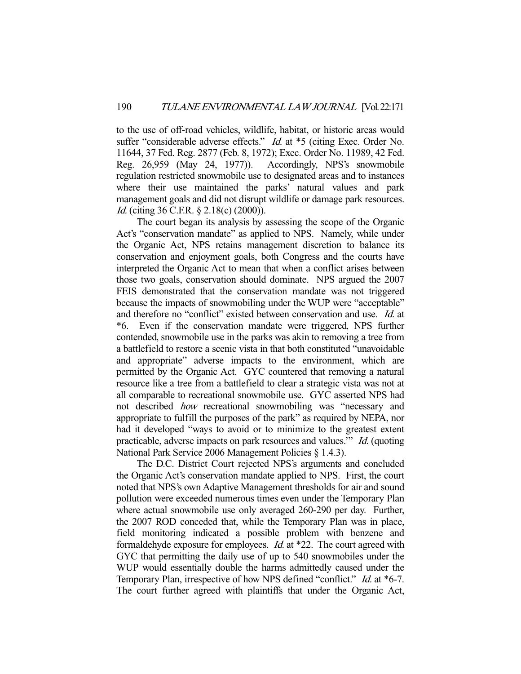to the use of off-road vehicles, wildlife, habitat, or historic areas would suffer "considerable adverse effects." *Id.* at \*5 (citing Exec. Order No. 11644, 37 Fed. Reg. 2877 (Feb. 8, 1972); Exec. Order No. 11989, 42 Fed. Reg. 26,959 (May 24, 1977)). Accordingly, NPS's snowmobile regulation restricted snowmobile use to designated areas and to instances where their use maintained the parks' natural values and park management goals and did not disrupt wildlife or damage park resources. Id. (citing 36 C.F.R. § 2.18(c) (2000)).

 The court began its analysis by assessing the scope of the Organic Act's "conservation mandate" as applied to NPS. Namely, while under the Organic Act, NPS retains management discretion to balance its conservation and enjoyment goals, both Congress and the courts have interpreted the Organic Act to mean that when a conflict arises between those two goals, conservation should dominate. NPS argued the 2007 FEIS demonstrated that the conservation mandate was not triggered because the impacts of snowmobiling under the WUP were "acceptable" and therefore no "conflict" existed between conservation and use. Id. at \*6. Even if the conservation mandate were triggered, NPS further contended, snowmobile use in the parks was akin to removing a tree from a battlefield to restore a scenic vista in that both constituted "unavoidable and appropriate" adverse impacts to the environment, which are permitted by the Organic Act. GYC countered that removing a natural resource like a tree from a battlefield to clear a strategic vista was not at all comparable to recreational snowmobile use. GYC asserted NPS had not described how recreational snowmobiling was "necessary and appropriate to fulfill the purposes of the park" as required by NEPA, nor had it developed "ways to avoid or to minimize to the greatest extent practicable, adverse impacts on park resources and values.'" Id. (quoting National Park Service 2006 Management Policies § 1.4.3).

 The D.C. District Court rejected NPS's arguments and concluded the Organic Act's conservation mandate applied to NPS. First, the court noted that NPS's own Adaptive Management thresholds for air and sound pollution were exceeded numerous times even under the Temporary Plan where actual snowmobile use only averaged 260-290 per day. Further, the 2007 ROD conceded that, while the Temporary Plan was in place, field monitoring indicated a possible problem with benzene and formaldehyde exposure for employees. Id. at \*22. The court agreed with GYC that permitting the daily use of up to 540 snowmobiles under the WUP would essentially double the harms admittedly caused under the Temporary Plan, irrespective of how NPS defined "conflict." *Id.* at \*6-7. The court further agreed with plaintiffs that under the Organic Act,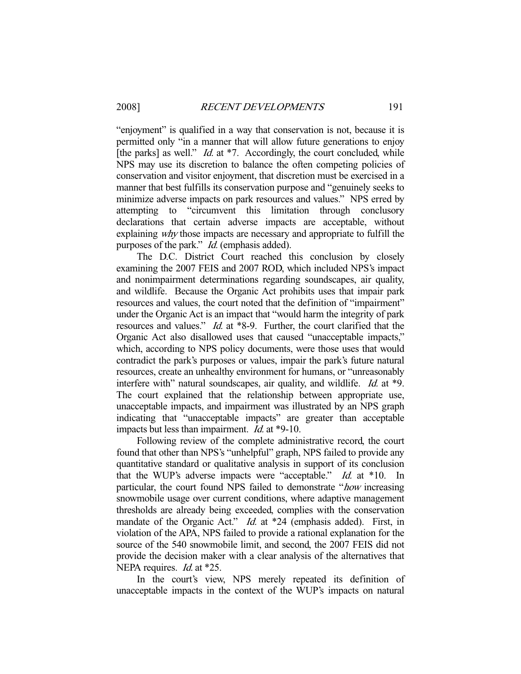"enjoyment" is qualified in a way that conservation is not, because it is permitted only "in a manner that will allow future generations to enjoy [the parks] as well." *Id.* at \*7. Accordingly, the court concluded, while NPS may use its discretion to balance the often competing policies of conservation and visitor enjoyment, that discretion must be exercised in a manner that best fulfills its conservation purpose and "genuinely seeks to minimize adverse impacts on park resources and values." NPS erred by attempting to "circumvent this limitation through conclusory declarations that certain adverse impacts are acceptable, without explaining why those impacts are necessary and appropriate to fulfill the purposes of the park." Id. (emphasis added).

 The D.C. District Court reached this conclusion by closely examining the 2007 FEIS and 2007 ROD, which included NPS's impact and nonimpairment determinations regarding soundscapes, air quality, and wildlife. Because the Organic Act prohibits uses that impair park resources and values, the court noted that the definition of "impairment" under the Organic Act is an impact that "would harm the integrity of park resources and values." Id. at \*8-9. Further, the court clarified that the Organic Act also disallowed uses that caused "unacceptable impacts," which, according to NPS policy documents, were those uses that would contradict the park's purposes or values, impair the park's future natural resources, create an unhealthy environment for humans, or "unreasonably interfere with" natural soundscapes, air quality, and wildlife. *Id.* at \*9. The court explained that the relationship between appropriate use, unacceptable impacts, and impairment was illustrated by an NPS graph indicating that "unacceptable impacts" are greater than acceptable impacts but less than impairment. *Id.* at \*9-10.

 Following review of the complete administrative record, the court found that other than NPS's "unhelpful" graph, NPS failed to provide any quantitative standard or qualitative analysis in support of its conclusion that the WUP's adverse impacts were "acceptable." Id. at \*10. In particular, the court found NPS failed to demonstrate "how increasing snowmobile usage over current conditions, where adaptive management thresholds are already being exceeded, complies with the conservation mandate of the Organic Act." *Id.* at \*24 (emphasis added). First, in violation of the APA, NPS failed to provide a rational explanation for the source of the 540 snowmobile limit, and second, the 2007 FEIS did not provide the decision maker with a clear analysis of the alternatives that NEPA requires. *Id.* at \*25.

 In the court's view, NPS merely repeated its definition of unacceptable impacts in the context of the WUP's impacts on natural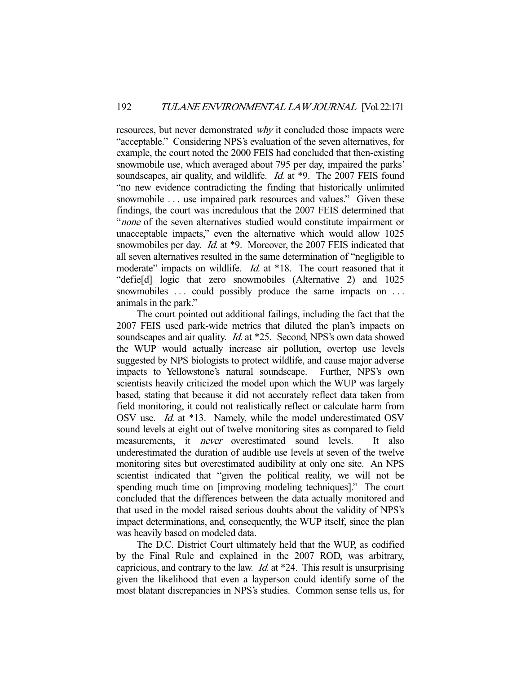resources, but never demonstrated *why* it concluded those impacts were "acceptable." Considering NPS's evaluation of the seven alternatives, for example, the court noted the 2000 FEIS had concluded that then-existing snowmobile use, which averaged about 795 per day, impaired the parks' soundscapes, air quality, and wildlife. *Id.* at \*9. The 2007 FEIS found "no new evidence contradicting the finding that historically unlimited snowmobile ... use impaired park resources and values." Given these findings, the court was incredulous that the 2007 FEIS determined that "none of the seven alternatives studied would constitute impairment or unacceptable impacts," even the alternative which would allow 1025 snowmobiles per day. *Id.* at \*9. Moreover, the 2007 FEIS indicated that all seven alternatives resulted in the same determination of "negligible to moderate" impacts on wildlife. *Id.* at \*18. The court reasoned that it "defie[d] logic that zero snowmobiles (Alternative 2) and 1025 snowmobiles ... could possibly produce the same impacts on ... animals in the park."

 The court pointed out additional failings, including the fact that the 2007 FEIS used park-wide metrics that diluted the plan's impacts on soundscapes and air quality. *Id.* at \*25. Second, NPS's own data showed the WUP would actually increase air pollution, overtop use levels suggested by NPS biologists to protect wildlife, and cause major adverse impacts to Yellowstone's natural soundscape. Further, NPS's own scientists heavily criticized the model upon which the WUP was largely based, stating that because it did not accurately reflect data taken from field monitoring, it could not realistically reflect or calculate harm from OSV use. Id. at \*13. Namely, while the model underestimated OSV sound levels at eight out of twelve monitoring sites as compared to field measurements, it *never* overestimated sound levels. It also underestimated the duration of audible use levels at seven of the twelve monitoring sites but overestimated audibility at only one site. An NPS scientist indicated that "given the political reality, we will not be spending much time on [improving modeling techniques]." The court concluded that the differences between the data actually monitored and that used in the model raised serious doubts about the validity of NPS's impact determinations, and, consequently, the WUP itself, since the plan was heavily based on modeled data.

 The D.C. District Court ultimately held that the WUP, as codified by the Final Rule and explained in the 2007 ROD, was arbitrary, capricious, and contrary to the law. *Id.* at  $*24$ . This result is unsurprising given the likelihood that even a layperson could identify some of the most blatant discrepancies in NPS's studies. Common sense tells us, for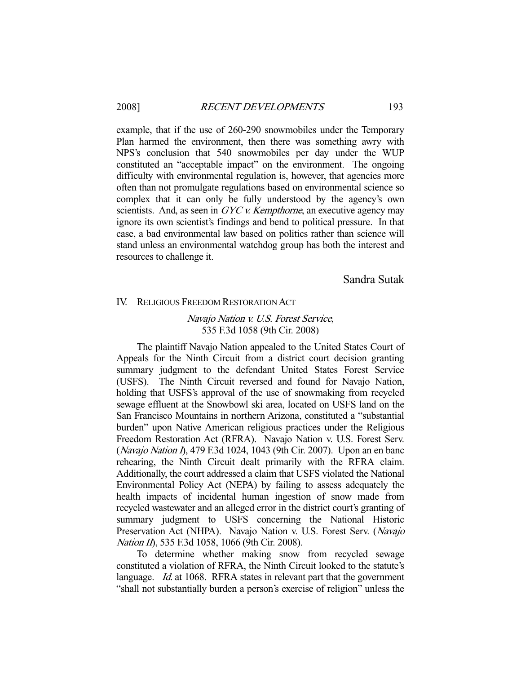#### 2008] RECENT DEVELOPMENTS 193

example, that if the use of 260-290 snowmobiles under the Temporary Plan harmed the environment, then there was something awry with NPS's conclusion that 540 snowmobiles per day under the WUP constituted an "acceptable impact" on the environment. The ongoing difficulty with environmental regulation is, however, that agencies more often than not promulgate regulations based on environmental science so complex that it can only be fully understood by the agency's own scientists. And, as seen in GYC v. Kempthorne, an executive agency may ignore its own scientist's findings and bend to political pressure. In that case, a bad environmental law based on politics rather than science will stand unless an environmental watchdog group has both the interest and resources to challenge it.

Sandra Sutak

#### IV. RELIGIOUS FREEDOM RESTORATION ACT

## Navajo Nation v. U.S. Forest Service, 535 F.3d 1058 (9th Cir. 2008)

 The plaintiff Navajo Nation appealed to the United States Court of Appeals for the Ninth Circuit from a district court decision granting summary judgment to the defendant United States Forest Service (USFS). The Ninth Circuit reversed and found for Navajo Nation, holding that USFS's approval of the use of snowmaking from recycled sewage effluent at the Snowbowl ski area, located on USFS land on the San Francisco Mountains in northern Arizona, constituted a "substantial burden" upon Native American religious practices under the Religious Freedom Restoration Act (RFRA). Navajo Nation v. U.S. Forest Serv. (Navajo Nation I), 479 F.3d 1024, 1043 (9th Cir. 2007). Upon an en banc rehearing, the Ninth Circuit dealt primarily with the RFRA claim. Additionally, the court addressed a claim that USFS violated the National Environmental Policy Act (NEPA) by failing to assess adequately the health impacts of incidental human ingestion of snow made from recycled wastewater and an alleged error in the district court's granting of summary judgment to USFS concerning the National Historic Preservation Act (NHPA). Navajo Nation v. U.S. Forest Serv. (Navajo Nation II), 535 F.3d 1058, 1066 (9th Cir. 2008).

 To determine whether making snow from recycled sewage constituted a violation of RFRA, the Ninth Circuit looked to the statute's language. *Id.* at 1068. RFRA states in relevant part that the government "shall not substantially burden a person's exercise of religion" unless the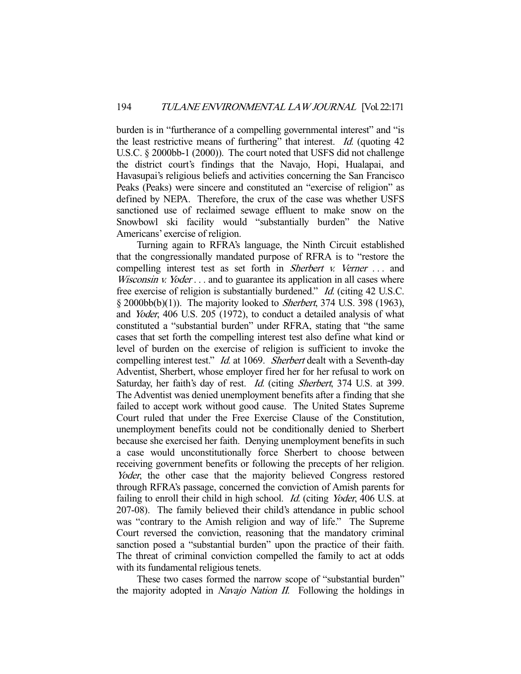burden is in "furtherance of a compelling governmental interest" and "is the least restrictive means of furthering" that interest. Id. (quoting 42 U.S.C. § 2000bb-1 (2000)). The court noted that USFS did not challenge the district court's findings that the Navajo, Hopi, Hualapai, and Havasupai's religious beliefs and activities concerning the San Francisco Peaks (Peaks) were sincere and constituted an "exercise of religion" as defined by NEPA. Therefore, the crux of the case was whether USFS sanctioned use of reclaimed sewage effluent to make snow on the Snowbowl ski facility would "substantially burden" the Native Americans' exercise of religion.

 Turning again to RFRA's language, the Ninth Circuit established that the congressionally mandated purpose of RFRA is to "restore the compelling interest test as set forth in *Sherbert v. Verner* ... and Wisconsin v. Yoder . . . and to guarantee its application in all cases where free exercise of religion is substantially burdened." Id. (citing 42 U.S.C. § 2000bb(b)(1)). The majority looked to Sherbert, 374 U.S. 398 (1963), and Yoder, 406 U.S. 205 (1972), to conduct a detailed analysis of what constituted a "substantial burden" under RFRA, stating that "the same cases that set forth the compelling interest test also define what kind or level of burden on the exercise of religion is sufficient to invoke the compelling interest test." *Id.* at 1069. Sherbert dealt with a Seventh-day Adventist, Sherbert, whose employer fired her for her refusal to work on Saturday, her faith's day of rest. Id. (citing Sherbert, 374 U.S. at 399. The Adventist was denied unemployment benefits after a finding that she failed to accept work without good cause. The United States Supreme Court ruled that under the Free Exercise Clause of the Constitution, unemployment benefits could not be conditionally denied to Sherbert because she exercised her faith. Denying unemployment benefits in such a case would unconstitutionally force Sherbert to choose between receiving government benefits or following the precepts of her religion. Yoder, the other case that the majority believed Congress restored through RFRA's passage, concerned the conviction of Amish parents for failing to enroll their child in high school. *Id.* (citing *Yoder*, 406 U.S. at 207-08). The family believed their child's attendance in public school was "contrary to the Amish religion and way of life." The Supreme Court reversed the conviction, reasoning that the mandatory criminal sanction posed a "substantial burden" upon the practice of their faith. The threat of criminal conviction compelled the family to act at odds with its fundamental religious tenets.

 These two cases formed the narrow scope of "substantial burden" the majority adopted in *Navajo Nation II*. Following the holdings in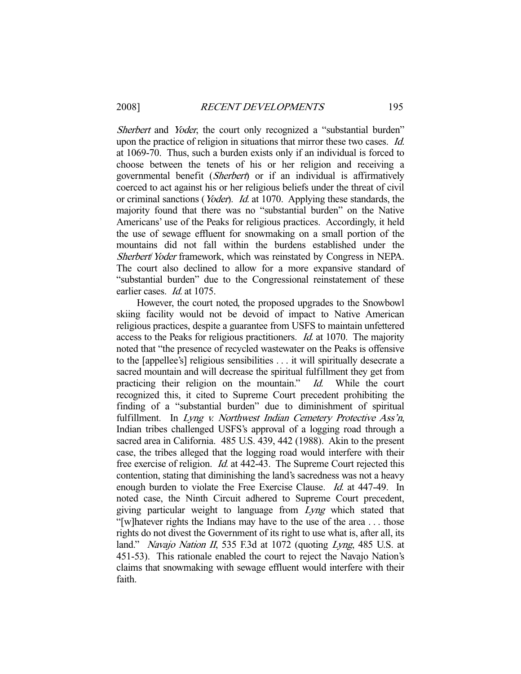Sherbert and *Yoder*, the court only recognized a "substantial burden" upon the practice of religion in situations that mirror these two cases. Id. at 1069-70. Thus, such a burden exists only if an individual is forced to choose between the tenets of his or her religion and receiving a governmental benefit (Sherbert) or if an individual is affirmatively coerced to act against his or her religious beliefs under the threat of civil or criminal sanctions (Yoder). Id. at 1070. Applying these standards, the majority found that there was no "substantial burden" on the Native Americans' use of the Peaks for religious practices. Accordingly, it held the use of sewage effluent for snowmaking on a small portion of the mountains did not fall within the burdens established under the Sherbert/Yoder framework, which was reinstated by Congress in NEPA. The court also declined to allow for a more expansive standard of "substantial burden" due to the Congressional reinstatement of these earlier cases. *Id.* at 1075.

 However, the court noted, the proposed upgrades to the Snowbowl skiing facility would not be devoid of impact to Native American religious practices, despite a guarantee from USFS to maintain unfettered access to the Peaks for religious practitioners. Id. at 1070. The majority noted that "the presence of recycled wastewater on the Peaks is offensive to the [appellee's] religious sensibilities . . . it will spiritually desecrate a sacred mountain and will decrease the spiritual fulfillment they get from practicing their religion on the mountain." Id. While the court recognized this, it cited to Supreme Court precedent prohibiting the finding of a "substantial burden" due to diminishment of spiritual fulfillment. In Lyng v. Northwest Indian Cemetery Protective Ass'n, Indian tribes challenged USFS's approval of a logging road through a sacred area in California. 485 U.S. 439, 442 (1988). Akin to the present case, the tribes alleged that the logging road would interfere with their free exercise of religion. Id. at 442-43. The Supreme Court rejected this contention, stating that diminishing the land's sacredness was not a heavy enough burden to violate the Free Exercise Clause. *Id.* at 447-49. In noted case, the Ninth Circuit adhered to Supreme Court precedent, giving particular weight to language from Lyng which stated that "[w]hatever rights the Indians may have to the use of the area . . . those rights do not divest the Government of its right to use what is, after all, its land." *Navajo Nation II*, 535 F.3d at 1072 (quoting *Lyng*, 485 U.S. at 451-53). This rationale enabled the court to reject the Navajo Nation's claims that snowmaking with sewage effluent would interfere with their faith.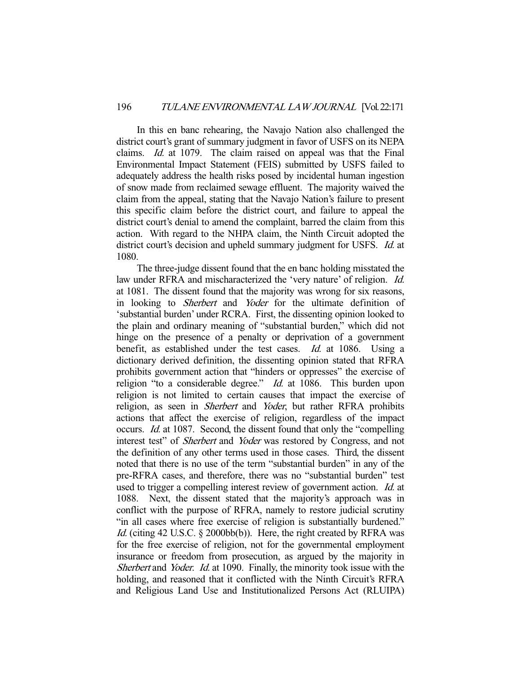In this en banc rehearing, the Navajo Nation also challenged the district court's grant of summary judgment in favor of USFS on its NEPA claims. Id. at 1079. The claim raised on appeal was that the Final Environmental Impact Statement (FEIS) submitted by USFS failed to adequately address the health risks posed by incidental human ingestion of snow made from reclaimed sewage effluent. The majority waived the claim from the appeal, stating that the Navajo Nation's failure to present this specific claim before the district court, and failure to appeal the district court's denial to amend the complaint, barred the claim from this action. With regard to the NHPA claim, the Ninth Circuit adopted the district court's decision and upheld summary judgment for USFS. *Id.* at 1080.

 The three-judge dissent found that the en banc holding misstated the law under RFRA and mischaracterized the 'very nature' of religion. Id. at 1081. The dissent found that the majority was wrong for six reasons, in looking to Sherbert and Yoder for the ultimate definition of 'substantial burden' under RCRA. First, the dissenting opinion looked to the plain and ordinary meaning of "substantial burden," which did not hinge on the presence of a penalty or deprivation of a government benefit, as established under the test cases. Id. at 1086. Using a dictionary derived definition, the dissenting opinion stated that RFRA prohibits government action that "hinders or oppresses" the exercise of religion "to a considerable degree." *Id.* at 1086. This burden upon religion is not limited to certain causes that impact the exercise of religion, as seen in *Sherbert* and *Yoder*, but rather RFRA prohibits actions that affect the exercise of religion, regardless of the impact occurs. Id. at 1087. Second, the dissent found that only the "compelling interest test" of *Sherbert* and *Yoder* was restored by Congress, and not the definition of any other terms used in those cases. Third, the dissent noted that there is no use of the term "substantial burden" in any of the pre-RFRA cases, and therefore, there was no "substantial burden" test used to trigger a compelling interest review of government action. Id. at 1088. Next, the dissent stated that the majority's approach was in conflict with the purpose of RFRA, namely to restore judicial scrutiny "in all cases where free exercise of religion is substantially burdened." Id. (citing 42 U.S.C. § 2000bb(b)). Here, the right created by RFRA was for the free exercise of religion, not for the governmental employment insurance or freedom from prosecution, as argued by the majority in Sherbert and *Yoder. Id.* at 1090. Finally, the minority took issue with the holding, and reasoned that it conflicted with the Ninth Circuit's RFRA and Religious Land Use and Institutionalized Persons Act (RLUIPA)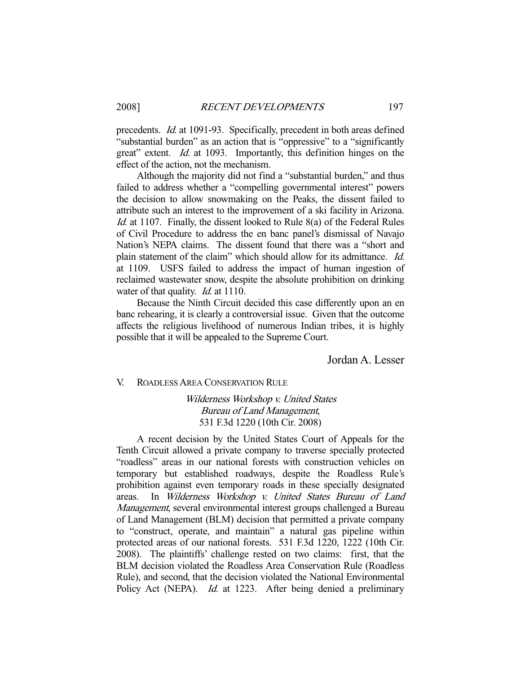precedents. Id. at 1091-93. Specifically, precedent in both areas defined "substantial burden" as an action that is "oppressive" to a "significantly great" extent. *Id.* at 1093. Importantly, this definition hinges on the effect of the action, not the mechanism.

 Although the majority did not find a "substantial burden," and thus failed to address whether a "compelling governmental interest" powers the decision to allow snowmaking on the Peaks, the dissent failed to attribute such an interest to the improvement of a ski facility in Arizona. Id. at 1107. Finally, the dissent looked to Rule 8(a) of the Federal Rules of Civil Procedure to address the en banc panel's dismissal of Navajo Nation's NEPA claims. The dissent found that there was a "short and plain statement of the claim" which should allow for its admittance. Id. at 1109. USFS failed to address the impact of human ingestion of reclaimed wastewater snow, despite the absolute prohibition on drinking water of that quality. *Id.* at 1110.

 Because the Ninth Circuit decided this case differently upon an en banc rehearing, it is clearly a controversial issue. Given that the outcome affects the religious livelihood of numerous Indian tribes, it is highly possible that it will be appealed to the Supreme Court.

Jordan A. Lesser

V. ROADLESS AREA CONSERVATION RULE

# Wilderness Workshop v. United States Bureau of Land Management, 531 F.3d 1220 (10th Cir. 2008)

 A recent decision by the United States Court of Appeals for the Tenth Circuit allowed a private company to traverse specially protected "roadless" areas in our national forests with construction vehicles on temporary but established roadways, despite the Roadless Rule's prohibition against even temporary roads in these specially designated areas. In Wilderness Workshop v. United States Bureau of Land Management, several environmental interest groups challenged a Bureau of Land Management (BLM) decision that permitted a private company to "construct, operate, and maintain" a natural gas pipeline within protected areas of our national forests. 531 F.3d 1220, 1222 (10th Cir. 2008). The plaintiffs' challenge rested on two claims: first, that the BLM decision violated the Roadless Area Conservation Rule (Roadless Rule), and second, that the decision violated the National Environmental Policy Act (NEPA). *Id.* at 1223. After being denied a preliminary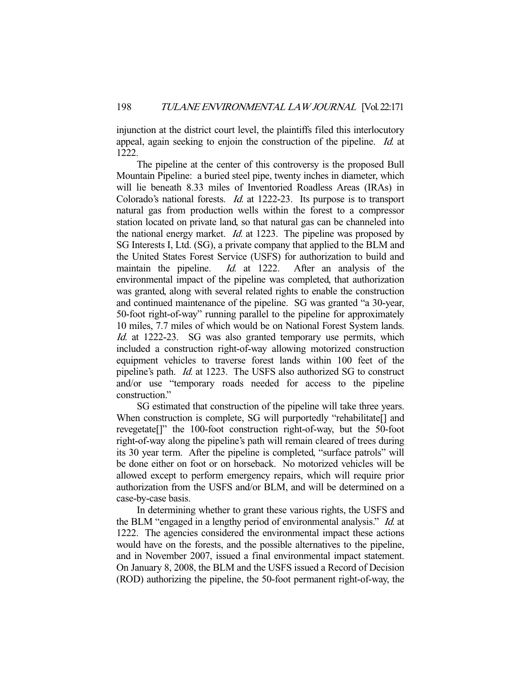injunction at the district court level, the plaintiffs filed this interlocutory appeal, again seeking to enjoin the construction of the pipeline. Id. at 1222.

 The pipeline at the center of this controversy is the proposed Bull Mountain Pipeline: a buried steel pipe, twenty inches in diameter, which will lie beneath 8.33 miles of Inventoried Roadless Areas (IRAs) in Colorado's national forests. Id. at 1222-23. Its purpose is to transport natural gas from production wells within the forest to a compressor station located on private land, so that natural gas can be channeled into the national energy market. *Id.* at 1223. The pipeline was proposed by SG Interests I, Ltd. (SG), a private company that applied to the BLM and the United States Forest Service (USFS) for authorization to build and maintain the pipeline. *Id.* at 1222. After an analysis of the environmental impact of the pipeline was completed, that authorization was granted, along with several related rights to enable the construction and continued maintenance of the pipeline. SG was granted "a 30-year, 50-foot right-of-way" running parallel to the pipeline for approximately 10 miles, 7.7 miles of which would be on National Forest System lands. Id. at 1222-23. SG was also granted temporary use permits, which included a construction right-of-way allowing motorized construction equipment vehicles to traverse forest lands within 100 feet of the pipeline's path. Id. at 1223. The USFS also authorized SG to construct and/or use "temporary roads needed for access to the pipeline construction."

 SG estimated that construction of the pipeline will take three years. When construction is complete, SG will purportedly "rehabilitate<sup>[]</sup> and revegetate[]" the 100-foot construction right-of-way, but the 50-foot right-of-way along the pipeline's path will remain cleared of trees during its 30 year term. After the pipeline is completed, "surface patrols" will be done either on foot or on horseback. No motorized vehicles will be allowed except to perform emergency repairs, which will require prior authorization from the USFS and/or BLM, and will be determined on a case-by-case basis.

 In determining whether to grant these various rights, the USFS and the BLM "engaged in a lengthy period of environmental analysis." Id. at 1222. The agencies considered the environmental impact these actions would have on the forests, and the possible alternatives to the pipeline, and in November 2007, issued a final environmental impact statement. On January 8, 2008, the BLM and the USFS issued a Record of Decision (ROD) authorizing the pipeline, the 50-foot permanent right-of-way, the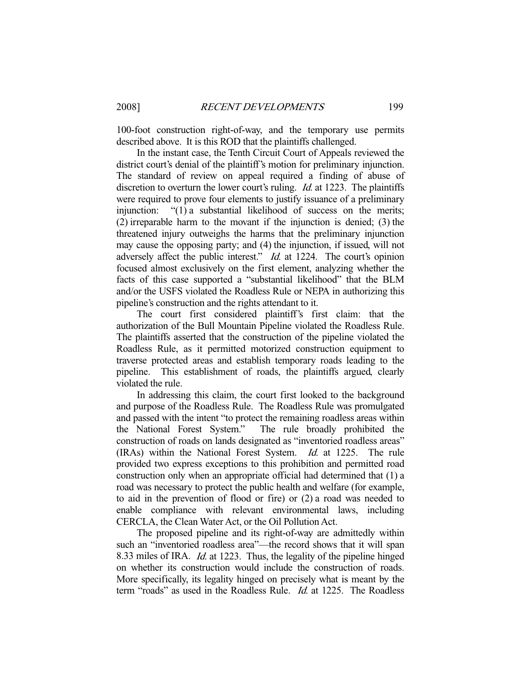100-foot construction right-of-way, and the temporary use permits described above. It is this ROD that the plaintiffs challenged.

 In the instant case, the Tenth Circuit Court of Appeals reviewed the district court's denial of the plaintiff's motion for preliminary injunction. The standard of review on appeal required a finding of abuse of discretion to overturn the lower court's ruling. *Id.* at 1223. The plaintiffs were required to prove four elements to justify issuance of a preliminary injunction: "(1) a substantial likelihood of success on the merits; (2) irreparable harm to the movant if the injunction is denied; (3) the threatened injury outweighs the harms that the preliminary injunction may cause the opposing party; and (4) the injunction, if issued, will not adversely affect the public interest." *Id.* at 1224. The court's opinion focused almost exclusively on the first element, analyzing whether the facts of this case supported a "substantial likelihood" that the BLM and/or the USFS violated the Roadless Rule or NEPA in authorizing this pipeline's construction and the rights attendant to it.

 The court first considered plaintiff's first claim: that the authorization of the Bull Mountain Pipeline violated the Roadless Rule. The plaintiffs asserted that the construction of the pipeline violated the Roadless Rule, as it permitted motorized construction equipment to traverse protected areas and establish temporary roads leading to the pipeline. This establishment of roads, the plaintiffs argued, clearly violated the rule.

 In addressing this claim, the court first looked to the background and purpose of the Roadless Rule. The Roadless Rule was promulgated and passed with the intent "to protect the remaining roadless areas within the National Forest System." The rule broadly prohibited the construction of roads on lands designated as "inventoried roadless areas" (IRAs) within the National Forest System. Id. at 1225. The rule provided two express exceptions to this prohibition and permitted road construction only when an appropriate official had determined that (1) a road was necessary to protect the public health and welfare (for example, to aid in the prevention of flood or fire) or (2) a road was needed to enable compliance with relevant environmental laws, including CERCLA, the Clean Water Act, or the Oil Pollution Act.

 The proposed pipeline and its right-of-way are admittedly within such an "inventoried roadless area"—the record shows that it will span 8.33 miles of IRA. Id. at 1223. Thus, the legality of the pipeline hinged on whether its construction would include the construction of roads. More specifically, its legality hinged on precisely what is meant by the term "roads" as used in the Roadless Rule. *Id.* at 1225. The Roadless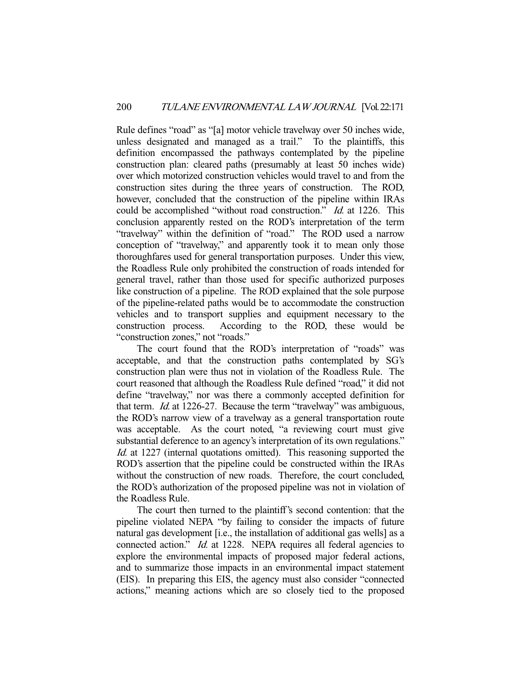Rule defines "road" as "[a] motor vehicle travelway over 50 inches wide, unless designated and managed as a trail." To the plaintiffs, this definition encompassed the pathways contemplated by the pipeline construction plan: cleared paths (presumably at least 50 inches wide) over which motorized construction vehicles would travel to and from the construction sites during the three years of construction. The ROD, however, concluded that the construction of the pipeline within IRAs could be accomplished "without road construction." Id. at 1226. This conclusion apparently rested on the ROD's interpretation of the term "travelway" within the definition of "road." The ROD used a narrow conception of "travelway," and apparently took it to mean only those thoroughfares used for general transportation purposes. Under this view, the Roadless Rule only prohibited the construction of roads intended for general travel, rather than those used for specific authorized purposes like construction of a pipeline. The ROD explained that the sole purpose of the pipeline-related paths would be to accommodate the construction vehicles and to transport supplies and equipment necessary to the construction process. According to the ROD, these would be "construction zones," not "roads."

 The court found that the ROD's interpretation of "roads" was acceptable, and that the construction paths contemplated by SG's construction plan were thus not in violation of the Roadless Rule. The court reasoned that although the Roadless Rule defined "road," it did not define "travelway," nor was there a commonly accepted definition for that term. Id. at 1226-27. Because the term "travelway" was ambiguous, the ROD's narrow view of a travelway as a general transportation route was acceptable. As the court noted, "a reviewing court must give substantial deference to an agency's interpretation of its own regulations." Id. at 1227 (internal quotations omitted). This reasoning supported the ROD's assertion that the pipeline could be constructed within the IRAs without the construction of new roads. Therefore, the court concluded, the ROD's authorization of the proposed pipeline was not in violation of the Roadless Rule.

 The court then turned to the plaintiff's second contention: that the pipeline violated NEPA "by failing to consider the impacts of future natural gas development [i.e., the installation of additional gas wells] as a connected action." *Id.* at 1228. NEPA requires all federal agencies to explore the environmental impacts of proposed major federal actions, and to summarize those impacts in an environmental impact statement (EIS). In preparing this EIS, the agency must also consider "connected actions," meaning actions which are so closely tied to the proposed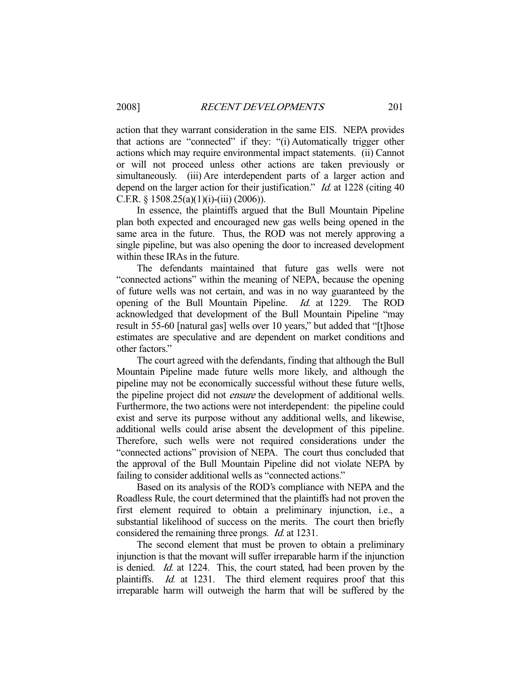action that they warrant consideration in the same EIS. NEPA provides that actions are "connected" if they: "(i) Automatically trigger other actions which may require environmental impact statements. (ii) Cannot or will not proceed unless other actions are taken previously or simultaneously. (iii) Are interdependent parts of a larger action and depend on the larger action for their justification." *Id.* at 1228 (citing 40) C.F.R. § 1508.25(a)(1)(i)-(iii) (2006)).

 In essence, the plaintiffs argued that the Bull Mountain Pipeline plan both expected and encouraged new gas wells being opened in the same area in the future. Thus, the ROD was not merely approving a single pipeline, but was also opening the door to increased development within these IRAs in the future.

 The defendants maintained that future gas wells were not "connected actions" within the meaning of NEPA, because the opening of future wells was not certain, and was in no way guaranteed by the opening of the Bull Mountain Pipeline. Id. at 1229. The ROD acknowledged that development of the Bull Mountain Pipeline "may result in 55-60 [natural gas] wells over 10 years," but added that "[t]hose estimates are speculative and are dependent on market conditions and other factors."

 The court agreed with the defendants, finding that although the Bull Mountain Pipeline made future wells more likely, and although the pipeline may not be economically successful without these future wells, the pipeline project did not ensure the development of additional wells. Furthermore, the two actions were not interdependent: the pipeline could exist and serve its purpose without any additional wells, and likewise, additional wells could arise absent the development of this pipeline. Therefore, such wells were not required considerations under the "connected actions" provision of NEPA. The court thus concluded that the approval of the Bull Mountain Pipeline did not violate NEPA by failing to consider additional wells as "connected actions."

 Based on its analysis of the ROD's compliance with NEPA and the Roadless Rule, the court determined that the plaintiffs had not proven the first element required to obtain a preliminary injunction, i.e., a substantial likelihood of success on the merits. The court then briefly considered the remaining three prongs. Id. at 1231.

 The second element that must be proven to obtain a preliminary injunction is that the movant will suffer irreparable harm if the injunction is denied. Id. at 1224. This, the court stated, had been proven by the plaintiffs. Id. at 1231. The third element requires proof that this irreparable harm will outweigh the harm that will be suffered by the